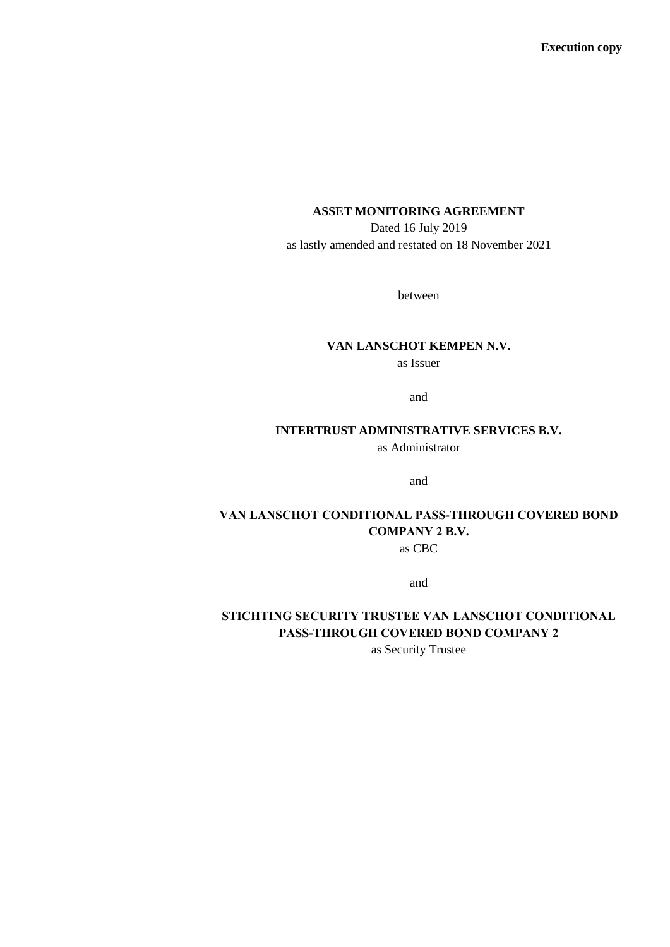## **ASSET MONITORING AGREEMENT**

Dated 16 July 2019 as lastly amended and restated on 18 November 2021

between

#### **VAN LANSCHOT KEMPEN N.V.**

as Issuer

and

# **INTERTRUST ADMINISTRATIVE SERVICES B.V.**

as Administrator

and

## **VAN LANSCHOT CONDITIONAL PASS-THROUGH COVERED BOND COMPANY 2 B.V.** as CBC

and

# **STICHTING SECURITY TRUSTEE VAN LANSCHOT CONDITIONAL PASS-THROUGH COVERED BOND COMPANY 2**

as Security Trustee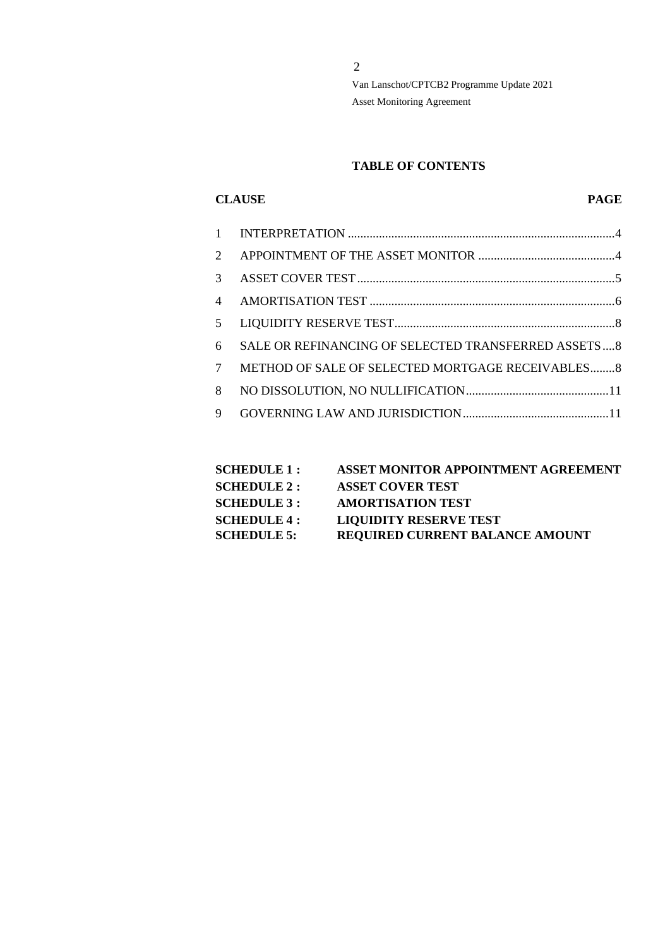#### **TABLE OF CONTENTS**

#### **CLAUSE PAGE**

| $\mathcal{D}_{\mathcal{L}}$ |                                                     |
|-----------------------------|-----------------------------------------------------|
| 3                           |                                                     |
| $\overline{\mathcal{A}}$    |                                                     |
| 5                           |                                                     |
| 6                           | SALE OR REFINANCING OF SELECTED TRANSFERRED ASSETS8 |
| 7                           | METHOD OF SALE OF SELECTED MORTGAGE RECEIVABLES 8   |
| 8                           |                                                     |
| 9                           |                                                     |
|                             |                                                     |

| <b>SCHEDULE 1 :</b> | <b>ASSET MONITOR APPOINTMENT AGREEMENT</b> |
|---------------------|--------------------------------------------|
| <b>SCHEDULE 2 :</b> | <b>ASSET COVER TEST</b>                    |
| <b>SCHEDULE 3 :</b> | <b>AMORTISATION TEST</b>                   |
| <b>SCHEDULE 4 :</b> | <b>LIQUIDITY RESERVE TEST</b>              |
| <b>SCHEDULE 5:</b>  | <b>REQUIRED CURRENT BALANCE AMOUNT</b>     |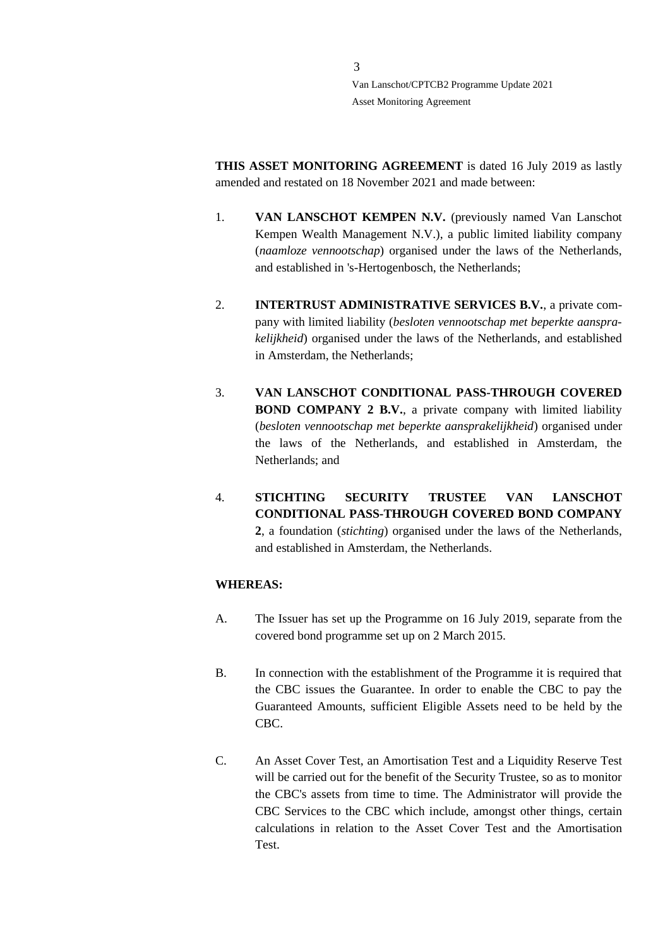**THIS ASSET MONITORING AGREEMENT** is dated 16 July 2019 as lastly amended and restated on 18 November 2021 and made between:

- 1. **VAN LANSCHOT KEMPEN N.V.** (previously named Van Lanschot Kempen Wealth Management N.V.), a public limited liability company (*naamloze vennootschap*) organised under the laws of the Netherlands, and established in 's-Hertogenbosch, the Netherlands;
- 2. **INTERTRUST ADMINISTRATIVE SERVICES B.V.**, a private company with limited liability (*besloten vennootschap met beperkte aansprakelijkheid*) organised under the laws of the Netherlands, and established in Amsterdam, the Netherlands;
- 3. **VAN LANSCHOT CONDITIONAL PASS-THROUGH COVERED BOND COMPANY 2 B.V.**, a private company with limited liability (*besloten vennootschap met beperkte aansprakelijkheid*) organised under the laws of the Netherlands, and established in Amsterdam, the Netherlands; and
- 4. **STICHTING SECURITY TRUSTEE VAN LANSCHOT CONDITIONAL PASS-THROUGH COVERED BOND COMPANY 2**, a foundation (*stichting*) organised under the laws of the Netherlands, and established in Amsterdam, the Netherlands.

## **WHEREAS:**

- A. The Issuer has set up the Programme on 16 July 2019, separate from the covered bond programme set up on 2 March 2015.
- B. In connection with the establishment of the Programme it is required that the CBC issues the Guarantee. In order to enable the CBC to pay the Guaranteed Amounts, sufficient Eligible Assets need to be held by the CBC.
- C. An Asset Cover Test, an Amortisation Test and a Liquidity Reserve Test will be carried out for the benefit of the Security Trustee, so as to monitor the CBC's assets from time to time. The Administrator will provide the CBC Services to the CBC which include, amongst other things, certain calculations in relation to the Asset Cover Test and the Amortisation **Test**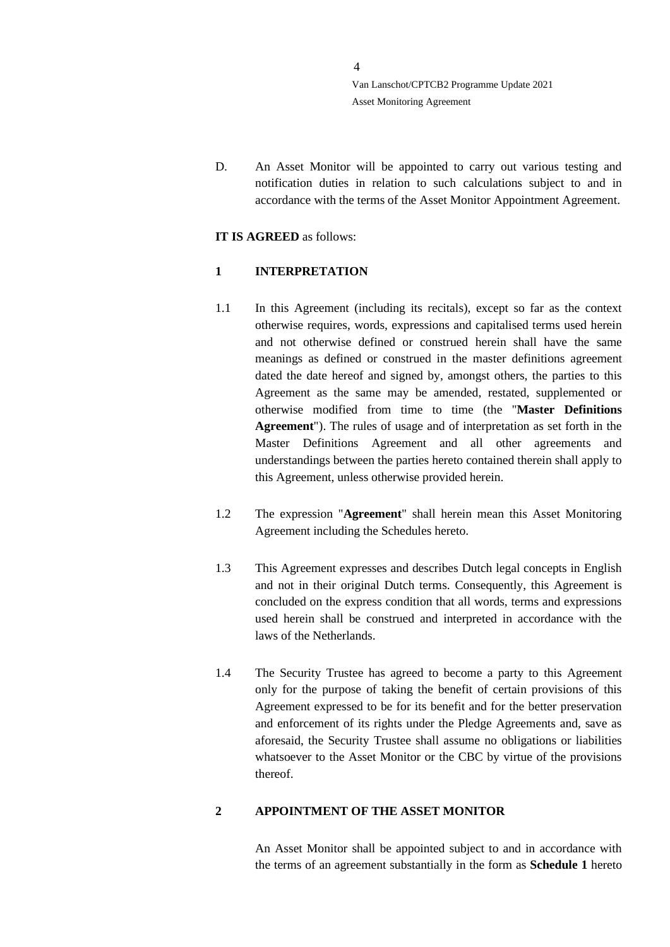D. An Asset Monitor will be appointed to carry out various testing and notification duties in relation to such calculations subject to and in accordance with the terms of the Asset Monitor Appointment Agreement.

#### **IT IS AGREED** as follows:

## <span id="page-3-0"></span>**1 INTERPRETATION**

- 1.1 In this Agreement (including its recitals), except so far as the context otherwise requires, words, expressions and capitalised terms used herein and not otherwise defined or construed herein shall have the same meanings as defined or construed in the master definitions agreement dated the date hereof and signed by, amongst others, the parties to this Agreement as the same may be amended, restated, supplemented or otherwise modified from time to time (the "**Master Definitions Agreement**"). The rules of usage and of interpretation as set forth in the Master Definitions Agreement and all other agreements and understandings between the parties hereto contained therein shall apply to this Agreement, unless otherwise provided herein.
- 1.2 The expression "**Agreement**" shall herein mean this Asset Monitoring Agreement including the Schedules hereto.
- 1.3 This Agreement expresses and describes Dutch legal concepts in English and not in their original Dutch terms. Consequently, this Agreement is concluded on the express condition that all words, terms and expressions used herein shall be construed and interpreted in accordance with the laws of the Netherlands.
- 1.4 The Security Trustee has agreed to become a party to this Agreement only for the purpose of taking the benefit of certain provisions of this Agreement expressed to be for its benefit and for the better preservation and enforcement of its rights under the Pledge Agreements and, save as aforesaid, the Security Trustee shall assume no obligations or liabilities whatsoever to the Asset Monitor or the CBC by virtue of the provisions thereof.

## <span id="page-3-1"></span>**2 APPOINTMENT OF THE ASSET MONITOR**

An Asset Monitor shall be appointed subject to and in accordance with the terms of an agreement substantially in the form as **Schedule 1** hereto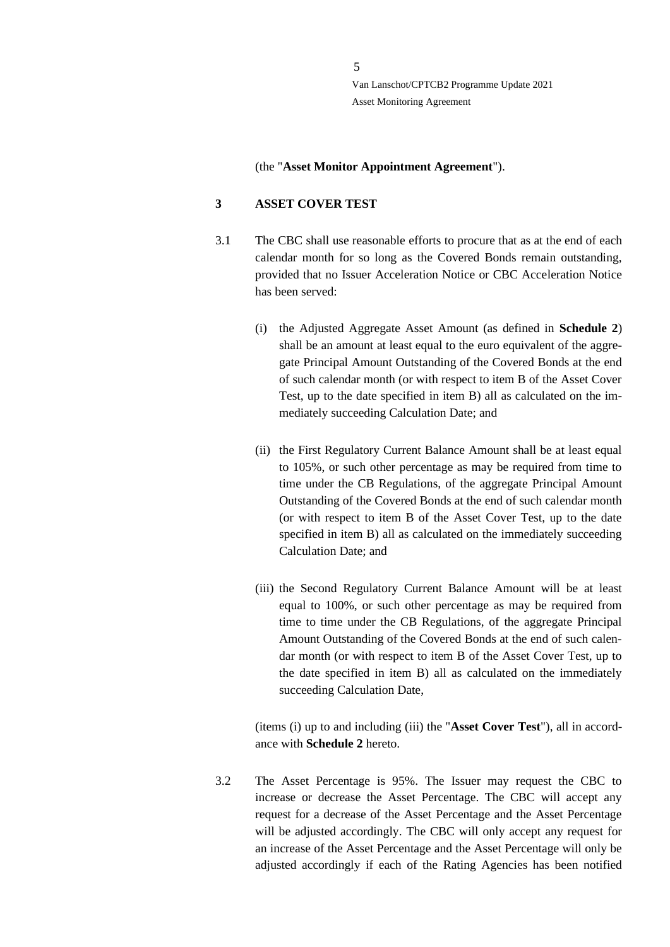(the "**Asset Monitor Appointment Agreement**").

#### <span id="page-4-0"></span>**3 ASSET COVER TEST**

- 3.1 The CBC shall use reasonable efforts to procure that as at the end of each calendar month for so long as the Covered Bonds remain outstanding, provided that no Issuer Acceleration Notice or CBC Acceleration Notice has been served:
	- (i) the Adjusted Aggregate Asset Amount (as defined in **Schedule 2**) shall be an amount at least equal to the euro equivalent of the aggregate Principal Amount Outstanding of the Covered Bonds at the end of such calendar month (or with respect to item B of the Asset Cover Test, up to the date specified in item B) all as calculated on the immediately succeeding Calculation Date; and
	- (ii) the First Regulatory Current Balance Amount shall be at least equal to 105%, or such other percentage as may be required from time to time under the CB Regulations, of the aggregate Principal Amount Outstanding of the Covered Bonds at the end of such calendar month (or with respect to item B of the Asset Cover Test, up to the date specified in item B) all as calculated on the immediately succeeding Calculation Date; and
	- (iii) the Second Regulatory Current Balance Amount will be at least equal to 100%, or such other percentage as may be required from time to time under the CB Regulations, of the aggregate Principal Amount Outstanding of the Covered Bonds at the end of such calendar month (or with respect to item B of the Asset Cover Test, up to the date specified in item B) all as calculated on the immediately succeeding Calculation Date,

(items (i) up to and including (iii) the "**Asset Cover Test**"), all in accordance with **Schedule 2** hereto.

3.2 The Asset Percentage is 95%. The Issuer may request the CBC to increase or decrease the Asset Percentage. The CBC will accept any request for a decrease of the Asset Percentage and the Asset Percentage will be adjusted accordingly. The CBC will only accept any request for an increase of the Asset Percentage and the Asset Percentage will only be adjusted accordingly if each of the Rating Agencies has been notified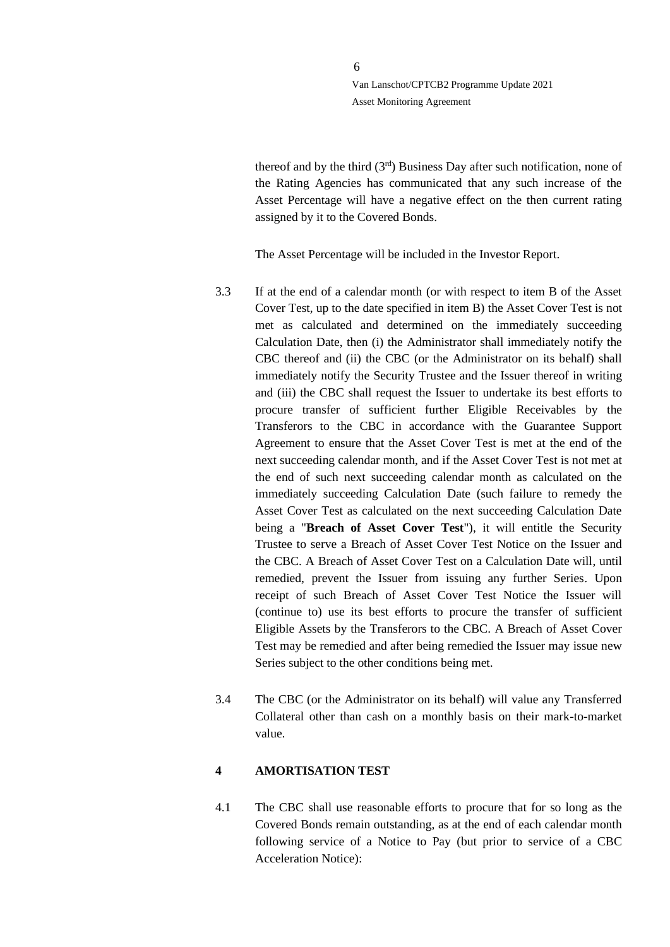thereof and by the third  $(3<sup>rd</sup>)$  Business Day after such notification, none of the Rating Agencies has communicated that any such increase of the Asset Percentage will have a negative effect on the then current rating assigned by it to the Covered Bonds.

The Asset Percentage will be included in the Investor Report.

6

- 3.3 If at the end of a calendar month (or with respect to item B of the Asset Cover Test, up to the date specified in item B) the Asset Cover Test is not met as calculated and determined on the immediately succeeding Calculation Date, then (i) the Administrator shall immediately notify the CBC thereof and (ii) the CBC (or the Administrator on its behalf) shall immediately notify the Security Trustee and the Issuer thereof in writing and (iii) the CBC shall request the Issuer to undertake its best efforts to procure transfer of sufficient further Eligible Receivables by the Transferors to the CBC in accordance with the Guarantee Support Agreement to ensure that the Asset Cover Test is met at the end of the next succeeding calendar month, and if the Asset Cover Test is not met at the end of such next succeeding calendar month as calculated on the immediately succeeding Calculation Date (such failure to remedy the Asset Cover Test as calculated on the next succeeding Calculation Date being a "**Breach of Asset Cover Test**"), it will entitle the Security Trustee to serve a Breach of Asset Cover Test Notice on the Issuer and the CBC. A Breach of Asset Cover Test on a Calculation Date will, until remedied, prevent the Issuer from issuing any further Series. Upon receipt of such Breach of Asset Cover Test Notice the Issuer will (continue to) use its best efforts to procure the transfer of sufficient Eligible Assets by the Transferors to the CBC. A Breach of Asset Cover Test may be remedied and after being remedied the Issuer may issue new Series subject to the other conditions being met.
- 3.4 The CBC (or the Administrator on its behalf) will value any Transferred Collateral other than cash on a monthly basis on their mark-to-market value.

## <span id="page-5-0"></span>**4 AMORTISATION TEST**

4.1 The CBC shall use reasonable efforts to procure that for so long as the Covered Bonds remain outstanding, as at the end of each calendar month following service of a Notice to Pay (but prior to service of a CBC Acceleration Notice):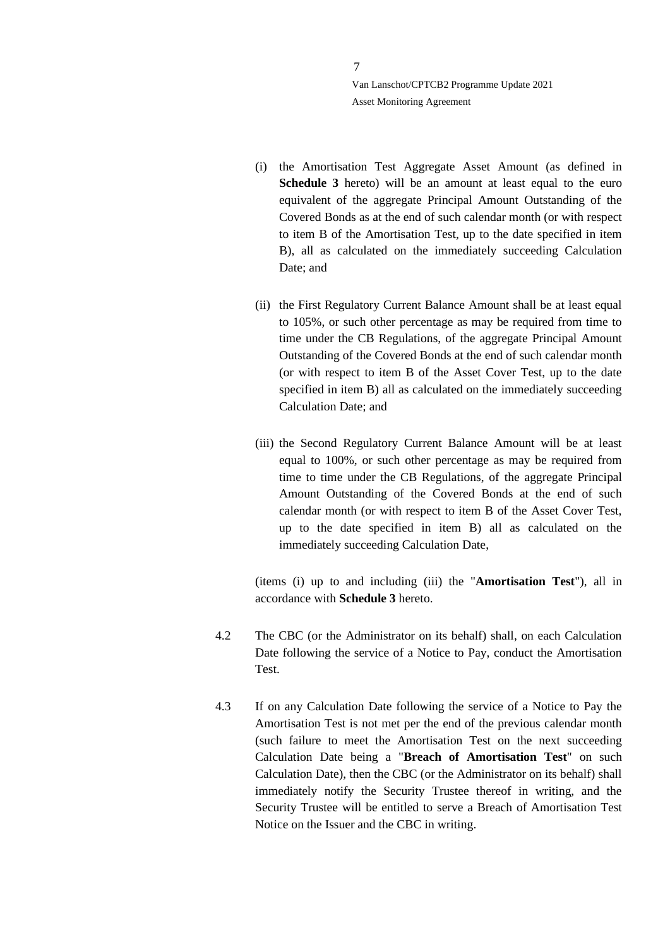7

- (i) the Amortisation Test Aggregate Asset Amount (as defined in **Schedule 3** hereto) will be an amount at least equal to the euro equivalent of the aggregate Principal Amount Outstanding of the Covered Bonds as at the end of such calendar month (or with respect to item B of the Amortisation Test, up to the date specified in item B), all as calculated on the immediately succeeding Calculation Date; and
- (ii) the First Regulatory Current Balance Amount shall be at least equal to 105%, or such other percentage as may be required from time to time under the CB Regulations, of the aggregate Principal Amount Outstanding of the Covered Bonds at the end of such calendar month (or with respect to item B of the Asset Cover Test, up to the date specified in item B) all as calculated on the immediately succeeding Calculation Date; and
- (iii) the Second Regulatory Current Balance Amount will be at least equal to 100%, or such other percentage as may be required from time to time under the CB Regulations, of the aggregate Principal Amount Outstanding of the Covered Bonds at the end of such calendar month (or with respect to item B of the Asset Cover Test, up to the date specified in item B) all as calculated on the immediately succeeding Calculation Date,

(items (i) up to and including (iii) the "**Amortisation Test**"), all in accordance with **Schedule 3** hereto.

- 4.2 The CBC (or the Administrator on its behalf) shall, on each Calculation Date following the service of a Notice to Pay, conduct the Amortisation Test.
- 4.3 If on any Calculation Date following the service of a Notice to Pay the Amortisation Test is not met per the end of the previous calendar month (such failure to meet the Amortisation Test on the next succeeding Calculation Date being a "**Breach of Amortisation Test**" on such Calculation Date), then the CBC (or the Administrator on its behalf) shall immediately notify the Security Trustee thereof in writing, and the Security Trustee will be entitled to serve a Breach of Amortisation Test Notice on the Issuer and the CBC in writing.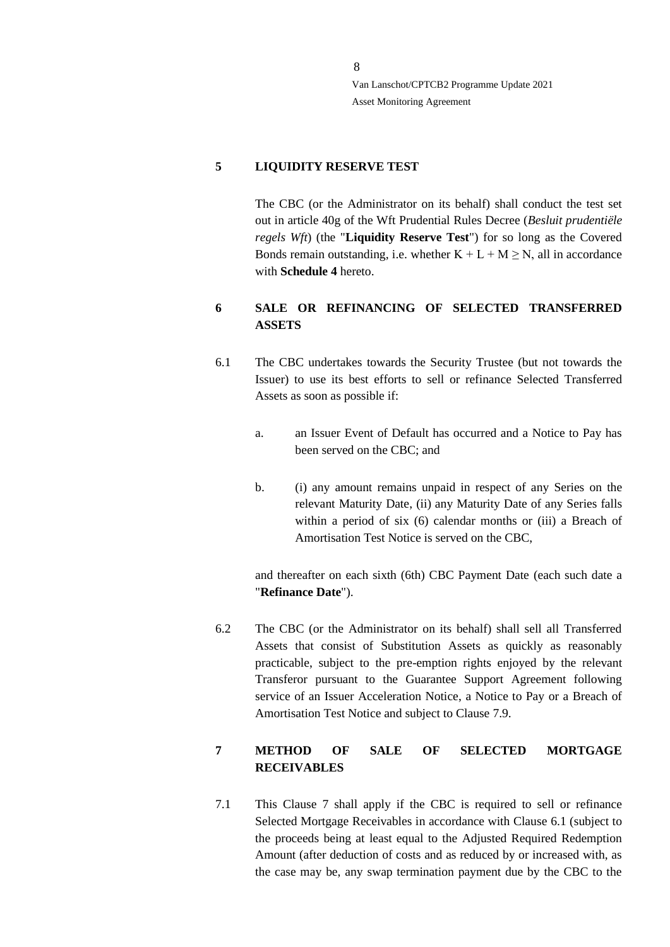#### <span id="page-7-0"></span>**5 LIQUIDITY RESERVE TEST**

The CBC (or the Administrator on its behalf) shall conduct the test set out in article 40g of the Wft Prudential Rules Decree (*Besluit prudentiële regels Wft*) (the "**Liquidity Reserve Test**") for so long as the Covered Bonds remain outstanding, i.e. whether  $K + L + M \ge N$ , all in accordance with **Schedule 4** hereto.

# <span id="page-7-1"></span>**6 SALE OR REFINANCING OF SELECTED TRANSFERRED ASSETS**

- <span id="page-7-3"></span>6.1 The CBC undertakes towards the Security Trustee (but not towards the Issuer) to use its best efforts to sell or refinance Selected Transferred Assets as soon as possible if:
	- a. an Issuer Event of Default has occurred and a Notice to Pay has been served on the CBC; and
	- b. (i) any amount remains unpaid in respect of any Series on the relevant Maturity Date, (ii) any Maturity Date of any Series falls within a period of six (6) calendar months or (iii) a Breach of Amortisation Test Notice is served on the CBC,

and thereafter on each sixth (6th) CBC Payment Date (each such date a "**Refinance Date**").

6.2 The CBC (or the Administrator on its behalf) shall sell all Transferred Assets that consist of Substitution Assets as quickly as reasonably practicable, subject to the pre-emption rights enjoyed by the relevant Transferor pursuant to the Guarantee Support Agreement following service of an Issuer Acceleration Notice, a Notice to Pay or a Breach of Amortisation Test Notice and subject to Clause [7.9.](#page-10-2)

# <span id="page-7-2"></span>**7 METHOD OF SALE OF SELECTED MORTGAGE RECEIVABLES**

<span id="page-7-4"></span>7.1 This Clause [7](#page-7-2) shall apply if the CBC is required to sell or refinance Selected Mortgage Receivables in accordance with Clause [6.1](#page-7-3) (subject to the proceeds being at least equal to the Adjusted Required Redemption Amount (after deduction of costs and as reduced by or increased with, as the case may be, any swap termination payment due by the CBC to the

8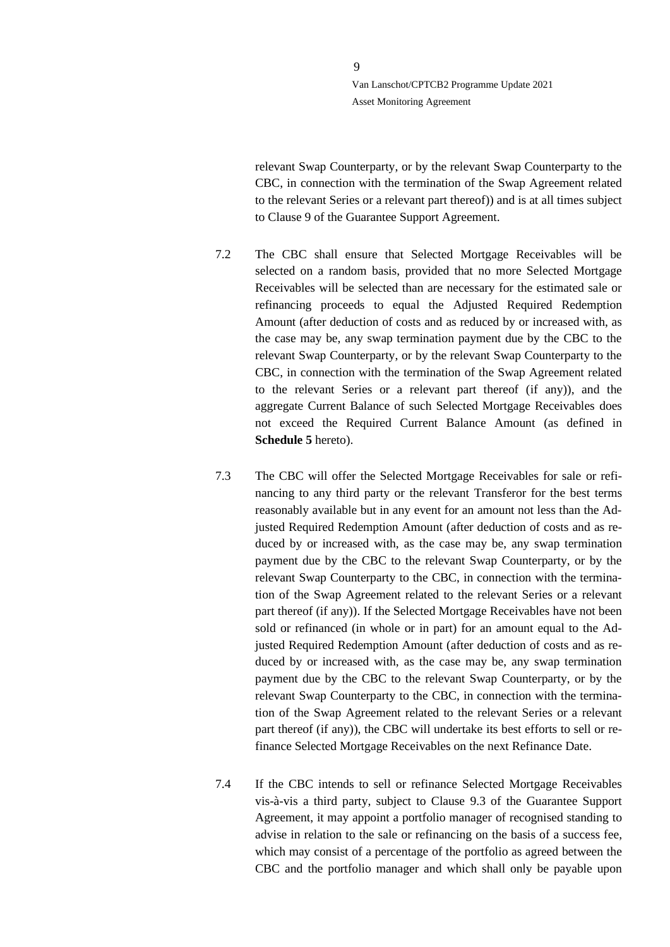9

relevant Swap Counterparty, or by the relevant Swap Counterparty to the CBC, in connection with the termination of the Swap Agreement related to the relevant Series or a relevant part thereof)) and is at all times subject to Clause 9 of the Guarantee Support Agreement.

- 7.2 The CBC shall ensure that Selected Mortgage Receivables will be selected on a random basis, provided that no more Selected Mortgage Receivables will be selected than are necessary for the estimated sale or refinancing proceeds to equal the Adjusted Required Redemption Amount (after deduction of costs and as reduced by or increased with, as the case may be, any swap termination payment due by the CBC to the relevant Swap Counterparty, or by the relevant Swap Counterparty to the CBC, in connection with the termination of the Swap Agreement related to the relevant Series or a relevant part thereof (if any)), and the aggregate Current Balance of such Selected Mortgage Receivables does not exceed the Required Current Balance Amount (as defined in **Schedule 5** hereto).
- 7.3 The CBC will offer the Selected Mortgage Receivables for sale or refinancing to any third party or the relevant Transferor for the best terms reasonably available but in any event for an amount not less than the Adjusted Required Redemption Amount (after deduction of costs and as reduced by or increased with, as the case may be, any swap termination payment due by the CBC to the relevant Swap Counterparty, or by the relevant Swap Counterparty to the CBC, in connection with the termination of the Swap Agreement related to the relevant Series or a relevant part thereof (if any)). If the Selected Mortgage Receivables have not been sold or refinanced (in whole or in part) for an amount equal to the Adjusted Required Redemption Amount (after deduction of costs and as reduced by or increased with, as the case may be, any swap termination payment due by the CBC to the relevant Swap Counterparty, or by the relevant Swap Counterparty to the CBC, in connection with the termination of the Swap Agreement related to the relevant Series or a relevant part thereof (if any)), the CBC will undertake its best efforts to sell or refinance Selected Mortgage Receivables on the next Refinance Date.
- 7.4 If the CBC intends to sell or refinance Selected Mortgage Receivables vis-à-vis a third party, subject to Clause 9.3 of the Guarantee Support Agreement, it may appoint a portfolio manager of recognised standing to advise in relation to the sale or refinancing on the basis of a success fee, which may consist of a percentage of the portfolio as agreed between the CBC and the portfolio manager and which shall only be payable upon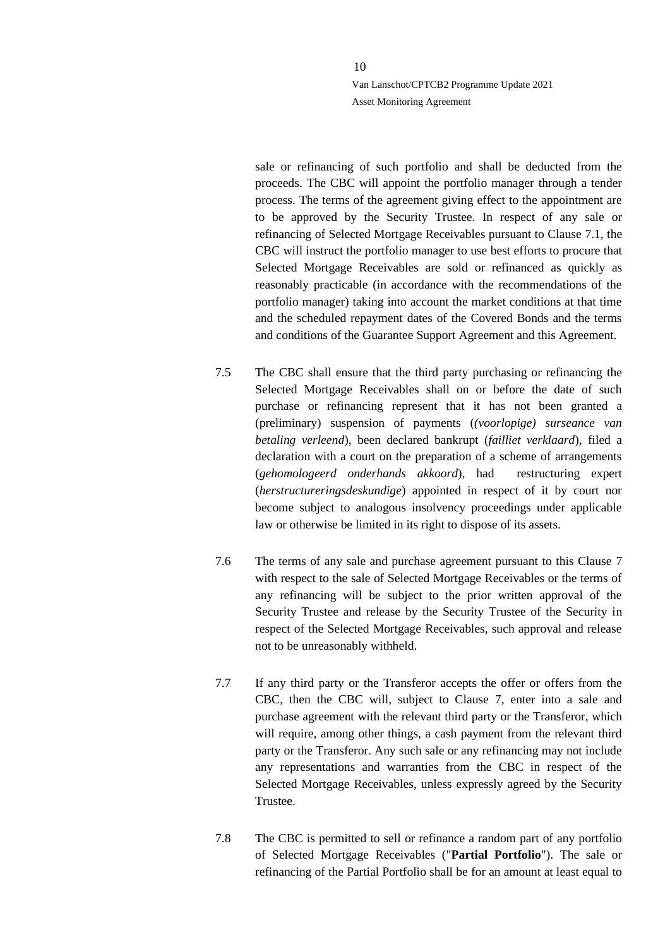sale or refinancing of such portfolio and shall be deducted from the proceeds. The CBC will appoint the portfolio manager through a tender process. The terms of the agreement giving effect to the appointment are to be approved by the Security Trustee. In respect of any sale or refinancing of Selected Mortgage Receivables pursuant to Clause [7.1,](#page-7-4) the CBC will instruct the portfolio manager to use best efforts to procure that Selected Mortgage Receivables are sold or refinanced as quickly as reasonably practicable (in accordance with the recommendations of the portfolio manager) taking into account the market conditions at that time and the scheduled repayment dates of the Covered Bonds and the terms and conditions of the Guarantee Support Agreement and this Agreement.

- 7.5 The CBC shall ensure that the third party purchasing or refinancing the Selected Mortgage Receivables shall on or before the date of such purchase or refinancing represent that it has not been granted a (preliminary) suspension of payments (*(voorlopige) surseance van betaling verleend*), been declared bankrupt (*failliet verklaard*), filed a declaration with a court on the preparation of a scheme of arrangements (*gehomologeerd onderhands akkoord*), had restructuring expert (*herstructureringsdeskundige*) appointed in respect of it by court nor become subject to analogous insolvency proceedings under applicable law or otherwise be limited in its right to dispose of its assets.
- 7.6 The terms of any sale and purchase agreement pursuant to this Clause [7](#page-7-2) with respect to the sale of Selected Mortgage Receivables or the terms of any refinancing will be subject to the prior written approval of the Security Trustee and release by the Security Trustee of the Security in respect of the Selected Mortgage Receivables, such approval and release not to be unreasonably withheld.
- 7.7 If any third party or the Transferor accepts the offer or offers from the CBC, then the CBC will, subject to Clause [7,](#page-7-2) enter into a sale and purchase agreement with the relevant third party or the Transferor, which will require, among other things, a cash payment from the relevant third party or the Transferor. Any such sale or any refinancing may not include any representations and warranties from the CBC in respect of the Selected Mortgage Receivables, unless expressly agreed by the Security Trustee.
- 7.8 The CBC is permitted to sell or refinance a random part of any portfolio of Selected Mortgage Receivables ("**Partial Portfolio**"). The sale or refinancing of the Partial Portfolio shall be for an amount at least equal to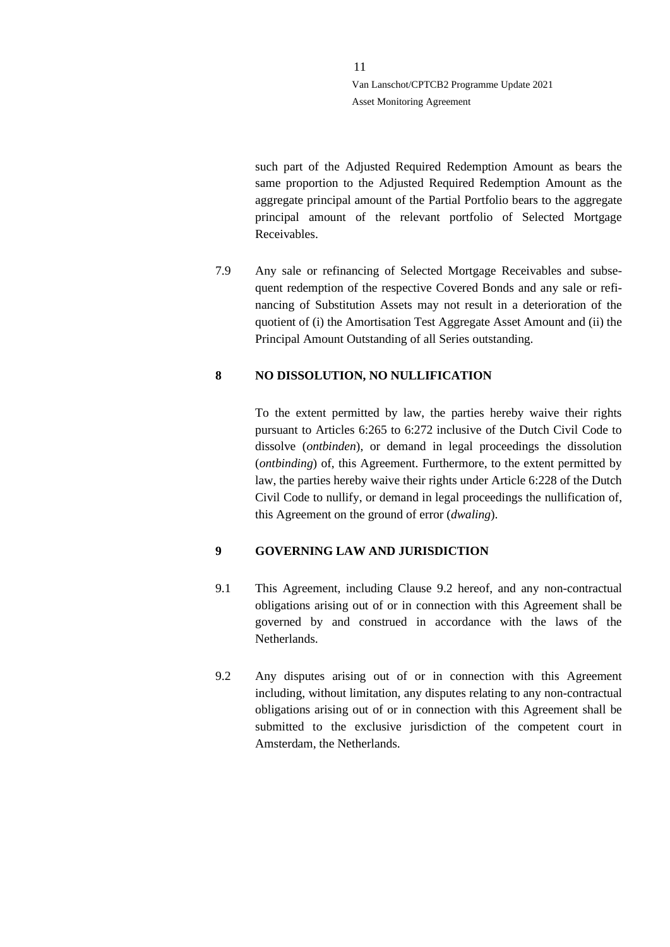such part of the Adjusted Required Redemption Amount as bears the same proportion to the Adjusted Required Redemption Amount as the aggregate principal amount of the Partial Portfolio bears to the aggregate principal amount of the relevant portfolio of Selected Mortgage Receivables.

<span id="page-10-2"></span>7.9 Any sale or refinancing of Selected Mortgage Receivables and subsequent redemption of the respective Covered Bonds and any sale or refinancing of Substitution Assets may not result in a deterioration of the quotient of (i) the Amortisation Test Aggregate Asset Amount and (ii) the Principal Amount Outstanding of all Series outstanding.

## <span id="page-10-0"></span>**8 NO DISSOLUTION, NO NULLIFICATION**

To the extent permitted by law, the parties hereby waive their rights pursuant to Articles 6:265 to 6:272 inclusive of the Dutch Civil Code to dissolve (*ontbinden*), or demand in legal proceedings the dissolution (*ontbinding*) of, this Agreement. Furthermore, to the extent permitted by law, the parties hereby waive their rights under Article 6:228 of the Dutch Civil Code to nullify, or demand in legal proceedings the nullification of, this Agreement on the ground of error (*dwaling*).

## <span id="page-10-1"></span>**9 GOVERNING LAW AND JURISDICTION**

- 9.1 This Agreement, including Clause [9.2](#page-10-3) hereof, and any non-contractual obligations arising out of or in connection with this Agreement shall be governed by and construed in accordance with the laws of the Netherlands.
- <span id="page-10-3"></span>9.2 Any disputes arising out of or in connection with this Agreement including, without limitation, any disputes relating to any non-contractual obligations arising out of or in connection with this Agreement shall be submitted to the exclusive jurisdiction of the competent court in Amsterdam, the Netherlands.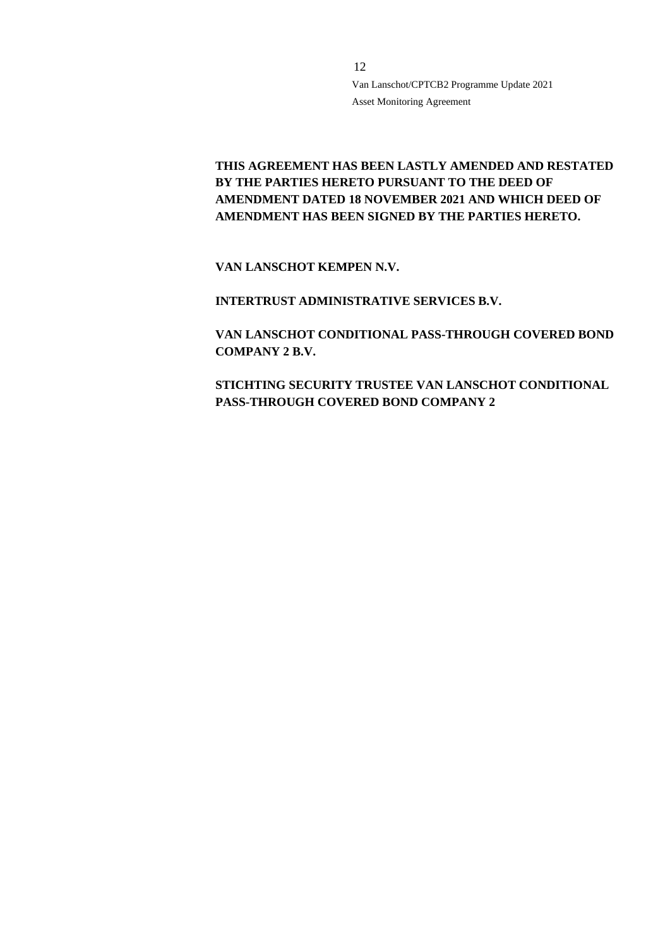# **THIS AGREEMENT HAS BEEN LASTLY AMENDED AND RESTATED BY THE PARTIES HERETO PURSUANT TO THE DEED OF AMENDMENT DATED 18 NOVEMBER 2021 AND WHICH DEED OF AMENDMENT HAS BEEN SIGNED BY THE PARTIES HERETO.**

**VAN LANSCHOT KEMPEN N.V.**

**INTERTRUST ADMINISTRATIVE SERVICES B.V.**

**VAN LANSCHOT CONDITIONAL PASS-THROUGH COVERED BOND COMPANY 2 B.V.**

**STICHTING SECURITY TRUSTEE VAN LANSCHOT CONDITIONAL PASS-THROUGH COVERED BOND COMPANY 2**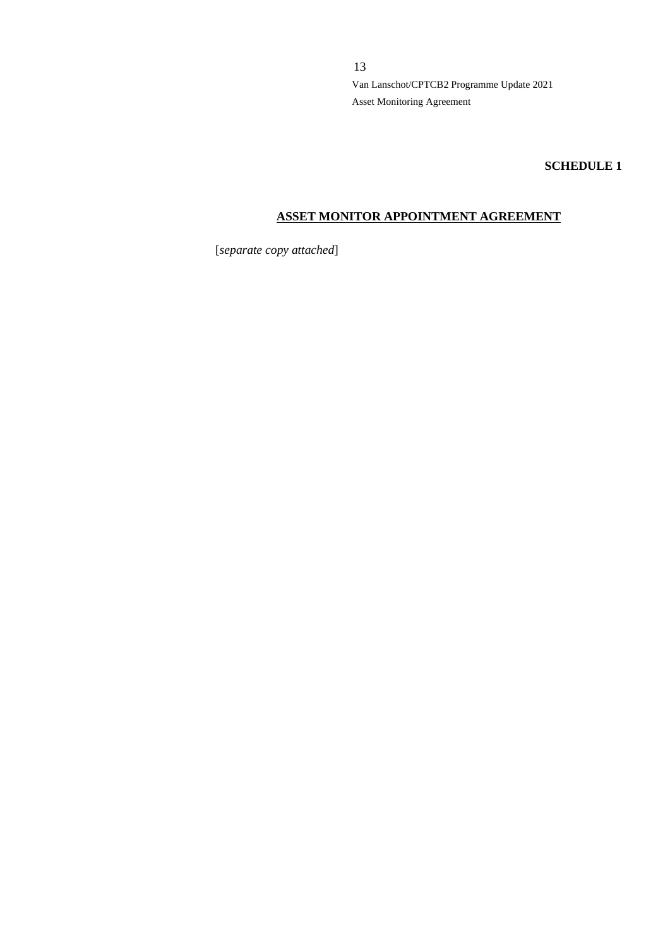**SCHEDULE 1**

## **ASSET MONITOR APPOINTMENT AGREEMENT**

[*separate copy attached*]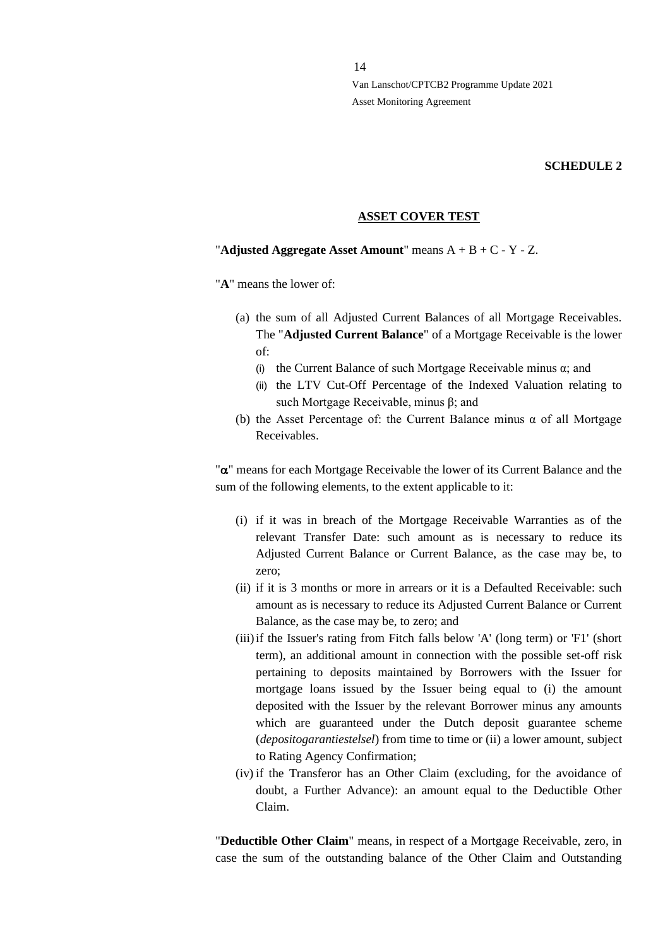#### **SCHEDULE 2**

#### **ASSET COVER TEST**

#### "**Adjusted Aggregate Asset Amount**" means A + B + C - Y - Z.

"**A**" means the lower of:

- (a) the sum of all Adjusted Current Balances of all Mortgage Receivables. The "**Adjusted Current Balance**" of a Mortgage Receivable is the lower of:
	- (i) the Current Balance of such Mortgage Receivable minus  $\alpha$ ; and
	- (ii) the LTV Cut-Off Percentage of the Indexed Valuation relating to such Mortgage Receivable, minus β; and
- (b) the Asset Percentage of: the Current Balance minus  $\alpha$  of all Mortgage Receivables.

" $\alpha$ " means for each Mortgage Receivable the lower of its Current Balance and the sum of the following elements, to the extent applicable to it:

- (i) if it was in breach of the Mortgage Receivable Warranties as of the relevant Transfer Date: such amount as is necessary to reduce its Adjusted Current Balance or Current Balance, as the case may be, to zero;
- (ii) if it is 3 months or more in arrears or it is a Defaulted Receivable: such amount as is necessary to reduce its Adjusted Current Balance or Current Balance, as the case may be, to zero; and
- (iii)if the Issuer's rating from Fitch falls below 'A' (long term) or 'F1' (short term), an additional amount in connection with the possible set-off risk pertaining to deposits maintained by Borrowers with the Issuer for mortgage loans issued by the Issuer being equal to (i) the amount deposited with the Issuer by the relevant Borrower minus any amounts which are guaranteed under the Dutch deposit guarantee scheme (*depositogarantiestelsel*) from time to time or (ii) a lower amount, subject to Rating Agency Confirmation;
- (iv) if the Transferor has an Other Claim (excluding, for the avoidance of doubt, a Further Advance): an amount equal to the Deductible Other Claim.

"**Deductible Other Claim**" means, in respect of a Mortgage Receivable, zero, in case the sum of the outstanding balance of the Other Claim and Outstanding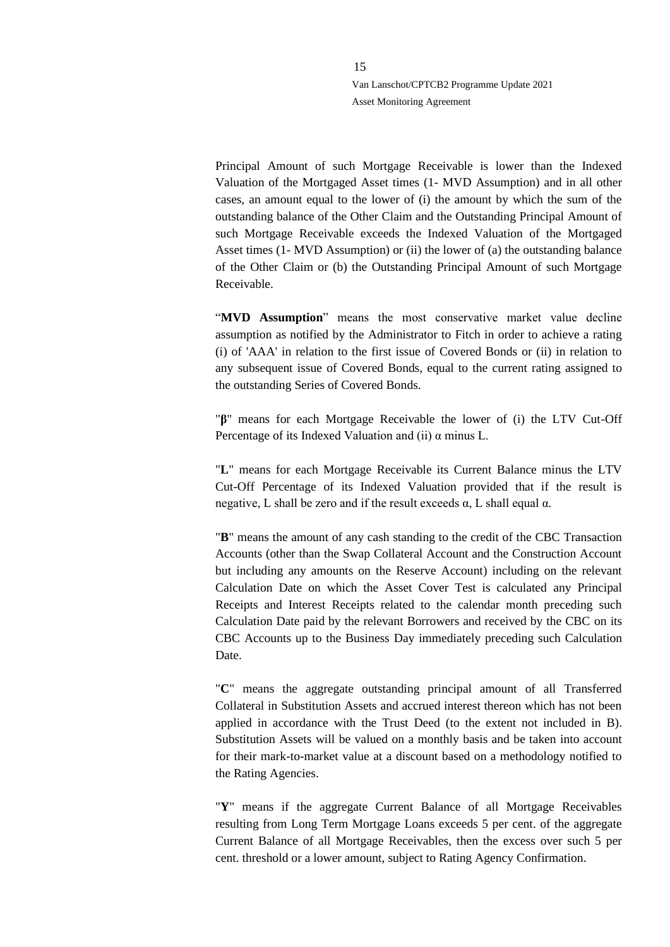Principal Amount of such Mortgage Receivable is lower than the Indexed Valuation of the Mortgaged Asset times (1- MVD Assumption) and in all other cases, an amount equal to the lower of (i) the amount by which the sum of the outstanding balance of the Other Claim and the Outstanding Principal Amount of such Mortgage Receivable exceeds the Indexed Valuation of the Mortgaged Asset times (1- MVD Assumption) or (ii) the lower of (a) the outstanding balance of the Other Claim or (b) the Outstanding Principal Amount of such Mortgage Receivable.

"**MVD Assumption**" means the most conservative market value decline assumption as notified by the Administrator to Fitch in order to achieve a rating (i) of 'AAA' in relation to the first issue of Covered Bonds or (ii) in relation to any subsequent issue of Covered Bonds, equal to the current rating assigned to the outstanding Series of Covered Bonds.

"**β**" means for each Mortgage Receivable the lower of (i) the LTV Cut-Off Percentage of its Indexed Valuation and (ii) α minus L.

"**L**" means for each Mortgage Receivable its Current Balance minus the LTV Cut-Off Percentage of its Indexed Valuation provided that if the result is negative, L shall be zero and if the result exceeds  $\alpha$ , L shall equal  $\alpha$ .

"**B**" means the amount of any cash standing to the credit of the CBC Transaction Accounts (other than the Swap Collateral Account and the Construction Account but including any amounts on the Reserve Account) including on the relevant Calculation Date on which the Asset Cover Test is calculated any Principal Receipts and Interest Receipts related to the calendar month preceding such Calculation Date paid by the relevant Borrowers and received by the CBC on its CBC Accounts up to the Business Day immediately preceding such Calculation Date.

"**C**" means the aggregate outstanding principal amount of all Transferred Collateral in Substitution Assets and accrued interest thereon which has not been applied in accordance with the Trust Deed (to the extent not included in B). Substitution Assets will be valued on a monthly basis and be taken into account for their mark-to-market value at a discount based on a methodology notified to the Rating Agencies.

"**Y**" means if the aggregate Current Balance of all Mortgage Receivables resulting from Long Term Mortgage Loans exceeds 5 per cent. of the aggregate Current Balance of all Mortgage Receivables, then the excess over such 5 per cent. threshold or a lower amount, subject to Rating Agency Confirmation.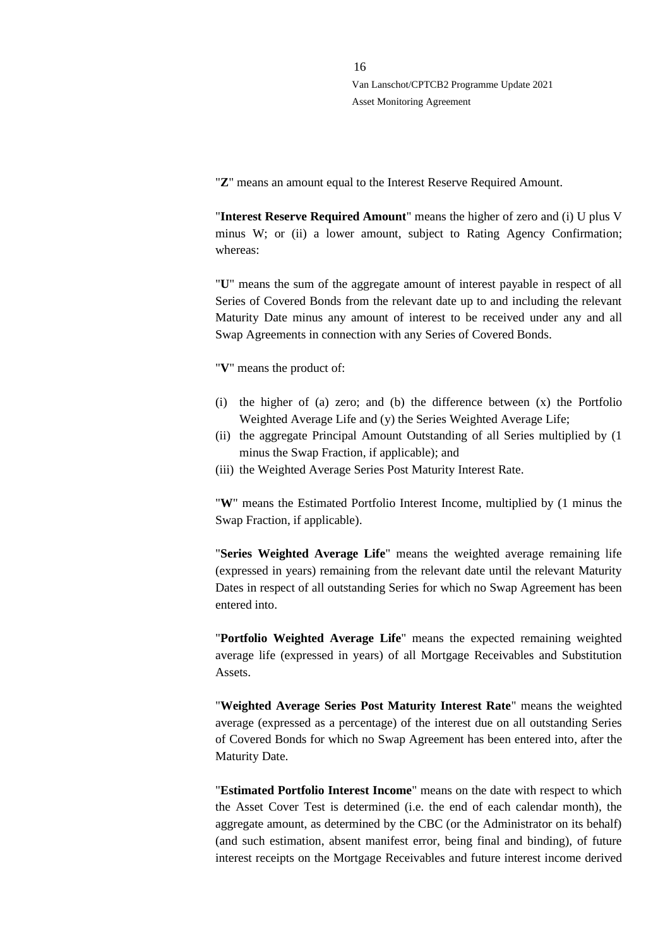"**Z**" means an amount equal to the Interest Reserve Required Amount.

"**Interest Reserve Required Amount**" means the higher of zero and (i) U plus V minus W; or (ii) a lower amount, subject to Rating Agency Confirmation; whereas:

"**U**" means the sum of the aggregate amount of interest payable in respect of all Series of Covered Bonds from the relevant date up to and including the relevant Maturity Date minus any amount of interest to be received under any and all Swap Agreements in connection with any Series of Covered Bonds.

"**V**" means the product of:

- (i) the higher of (a) zero; and (b) the difference between (x) the Portfolio Weighted Average Life and (y) the Series Weighted Average Life;
- (ii) the aggregate Principal Amount Outstanding of all Series multiplied by (1 minus the Swap Fraction, if applicable); and
- (iii) the Weighted Average Series Post Maturity Interest Rate.

"**W**" means the Estimated Portfolio Interest Income, multiplied by (1 minus the Swap Fraction, if applicable).

"**Series Weighted Average Life**" means the weighted average remaining life (expressed in years) remaining from the relevant date until the relevant Maturity Dates in respect of all outstanding Series for which no Swap Agreement has been entered into.

"**Portfolio Weighted Average Life**" means the expected remaining weighted average life (expressed in years) of all Mortgage Receivables and Substitution Assets.

"**Weighted Average Series Post Maturity Interest Rate**" means the weighted average (expressed as a percentage) of the interest due on all outstanding Series of Covered Bonds for which no Swap Agreement has been entered into, after the Maturity Date.

"**Estimated Portfolio Interest Income**" means on the date with respect to which the Asset Cover Test is determined (i.e. the end of each calendar month), the aggregate amount, as determined by the CBC (or the Administrator on its behalf) (and such estimation, absent manifest error, being final and binding), of future interest receipts on the Mortgage Receivables and future interest income derived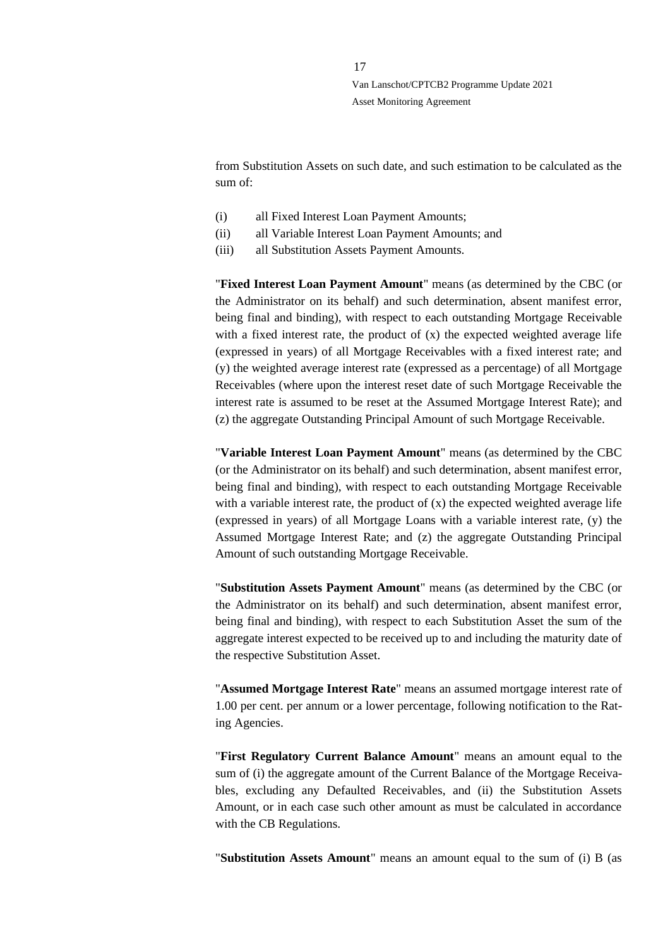from Substitution Assets on such date, and such estimation to be calculated as the sum of:

- (i) all Fixed Interest Loan Payment Amounts;
- (ii) all Variable Interest Loan Payment Amounts; and
- (iii) all Substitution Assets Payment Amounts.

"**Fixed Interest Loan Payment Amount**" means (as determined by the CBC (or the Administrator on its behalf) and such determination, absent manifest error, being final and binding), with respect to each outstanding Mortgage Receivable with a fixed interest rate, the product of  $(x)$  the expected weighted average life (expressed in years) of all Mortgage Receivables with a fixed interest rate; and (y) the weighted average interest rate (expressed as a percentage) of all Mortgage Receivables (where upon the interest reset date of such Mortgage Receivable the interest rate is assumed to be reset at the Assumed Mortgage Interest Rate); and (z) the aggregate Outstanding Principal Amount of such Mortgage Receivable.

"**Variable Interest Loan Payment Amount**" means (as determined by the CBC (or the Administrator on its behalf) and such determination, absent manifest error, being final and binding), with respect to each outstanding Mortgage Receivable with a variable interest rate, the product of  $(x)$  the expected weighted average life (expressed in years) of all Mortgage Loans with a variable interest rate, (y) the Assumed Mortgage Interest Rate; and (z) the aggregate Outstanding Principal Amount of such outstanding Mortgage Receivable.

"**Substitution Assets Payment Amount**" means (as determined by the CBC (or the Administrator on its behalf) and such determination, absent manifest error, being final and binding), with respect to each Substitution Asset the sum of the aggregate interest expected to be received up to and including the maturity date of the respective Substitution Asset.

"**Assumed Mortgage Interest Rate**" means an assumed mortgage interest rate of 1.00 per cent. per annum or a lower percentage, following notification to the Rating Agencies.

"**First Regulatory Current Balance Amount**" means an amount equal to the sum of (i) the aggregate amount of the Current Balance of the Mortgage Receivables, excluding any Defaulted Receivables, and (ii) the Substitution Assets Amount, or in each case such other amount as must be calculated in accordance with the CB Regulations.

"**Substitution Assets Amount**" means an amount equal to the sum of (i) B (as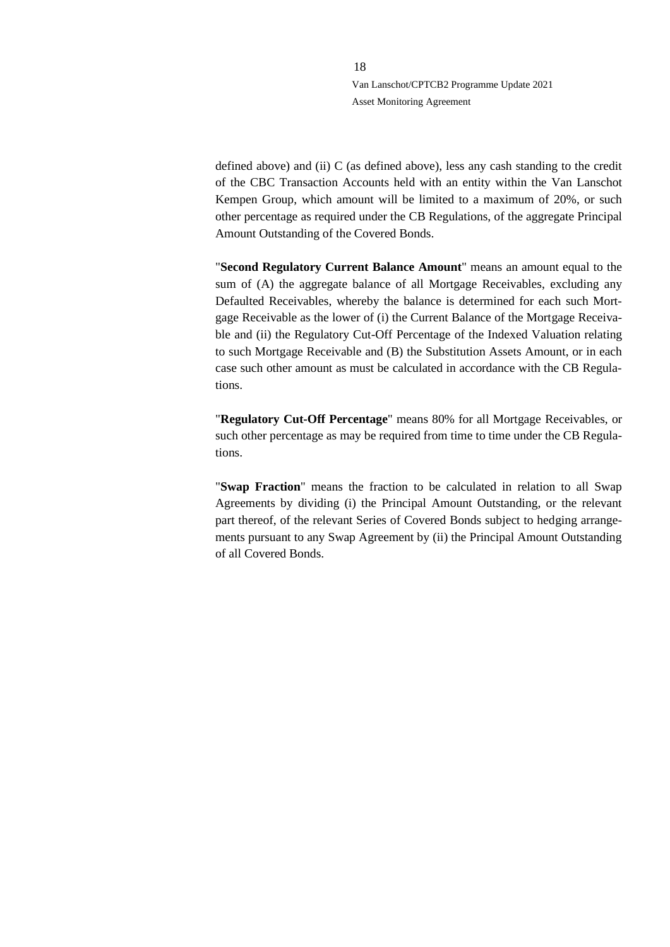defined above) and (ii) C (as defined above), less any cash standing to the credit of the CBC Transaction Accounts held with an entity within the Van Lanschot Kempen Group, which amount will be limited to a maximum of 20%, or such other percentage as required under the CB Regulations, of the aggregate Principal Amount Outstanding of the Covered Bonds.

"**Second Regulatory Current Balance Amount**" means an amount equal to the sum of (A) the aggregate balance of all Mortgage Receivables, excluding any Defaulted Receivables, whereby the balance is determined for each such Mortgage Receivable as the lower of (i) the Current Balance of the Mortgage Receivable and (ii) the Regulatory Cut-Off Percentage of the Indexed Valuation relating to such Mortgage Receivable and (B) the Substitution Assets Amount, or in each case such other amount as must be calculated in accordance with the CB Regulations.

"**Regulatory Cut-Off Percentage**" means 80% for all Mortgage Receivables, or such other percentage as may be required from time to time under the CB Regulations.

"**Swap Fraction**" means the fraction to be calculated in relation to all Swap Agreements by dividing (i) the Principal Amount Outstanding, or the relevant part thereof, of the relevant Series of Covered Bonds subject to hedging arrangements pursuant to any Swap Agreement by (ii) the Principal Amount Outstanding of all Covered Bonds.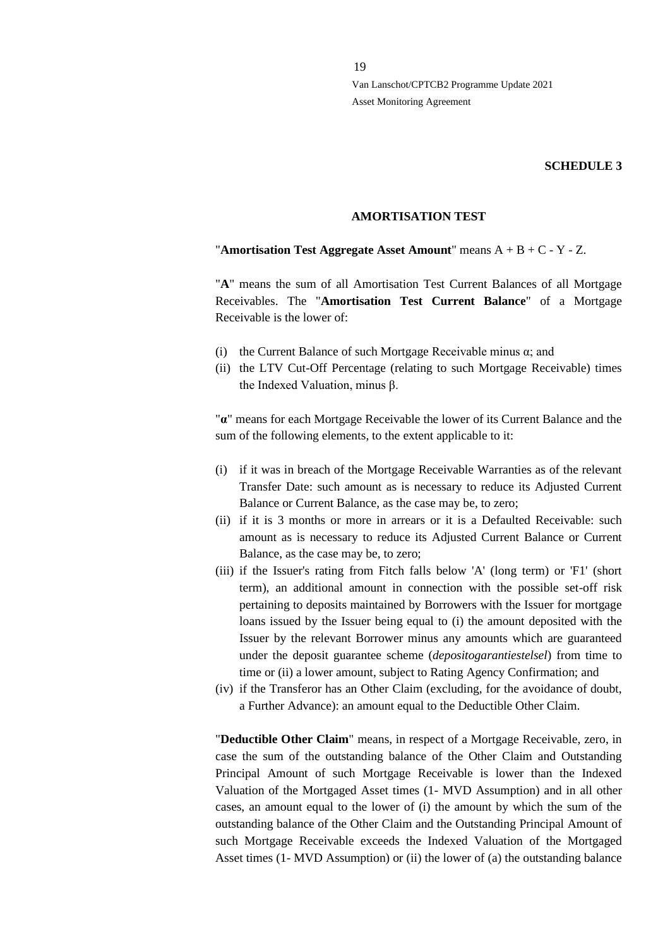#### **SCHEDULE 3**

#### **AMORTISATION TEST**

#### "**Amortisation Test Aggregate Asset Amount**" means A + B + C - Y - Z.

"**A**" means the sum of all Amortisation Test Current Balances of all Mortgage Receivables. The "**Amortisation Test Current Balance**" of a Mortgage Receivable is the lower of:

- (i) the Current Balance of such Mortgage Receivable minus  $\alpha$ ; and
- (ii) the LTV Cut-Off Percentage (relating to such Mortgage Receivable) times the Indexed Valuation, minus β.

"**α**" means for each Mortgage Receivable the lower of its Current Balance and the sum of the following elements, to the extent applicable to it:

- (i) if it was in breach of the Mortgage Receivable Warranties as of the relevant Transfer Date: such amount as is necessary to reduce its Adjusted Current Balance or Current Balance, as the case may be, to zero;
- (ii) if it is 3 months or more in arrears or it is a Defaulted Receivable: such amount as is necessary to reduce its Adjusted Current Balance or Current Balance, as the case may be, to zero;
- (iii) if the Issuer's rating from Fitch falls below 'A' (long term) or 'F1' (short term), an additional amount in connection with the possible set-off risk pertaining to deposits maintained by Borrowers with the Issuer for mortgage loans issued by the Issuer being equal to (i) the amount deposited with the Issuer by the relevant Borrower minus any amounts which are guaranteed under the deposit guarantee scheme (*depositogarantiestelsel*) from time to time or (ii) a lower amount, subject to Rating Agency Confirmation; and
- (iv) if the Transferor has an Other Claim (excluding, for the avoidance of doubt, a Further Advance): an amount equal to the Deductible Other Claim.

"**Deductible Other Claim**" means, in respect of a Mortgage Receivable, zero, in case the sum of the outstanding balance of the Other Claim and Outstanding Principal Amount of such Mortgage Receivable is lower than the Indexed Valuation of the Mortgaged Asset times (1- MVD Assumption) and in all other cases, an amount equal to the lower of (i) the amount by which the sum of the outstanding balance of the Other Claim and the Outstanding Principal Amount of such Mortgage Receivable exceeds the Indexed Valuation of the Mortgaged Asset times (1- MVD Assumption) or (ii) the lower of (a) the outstanding balance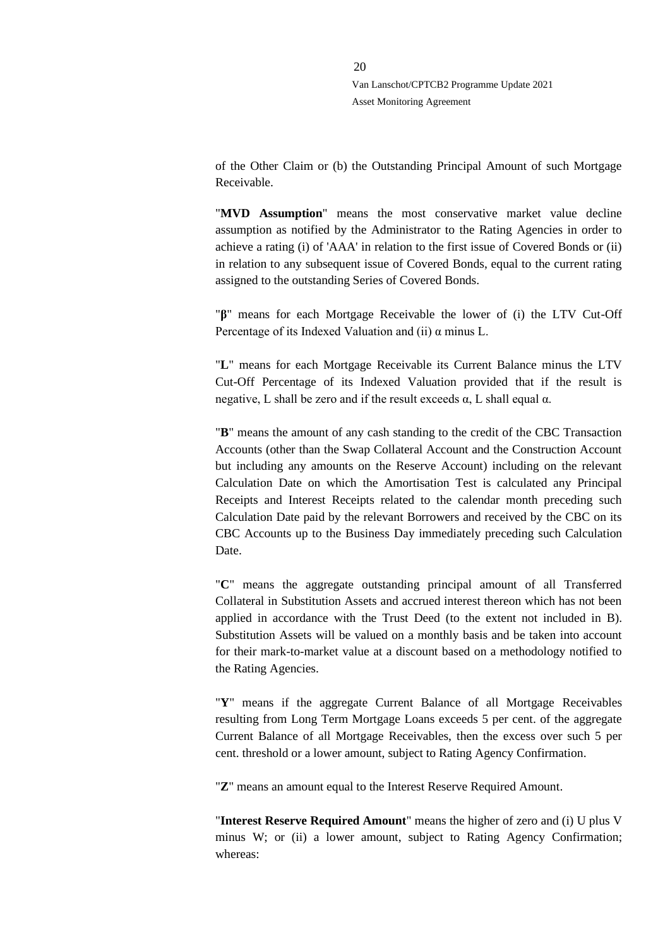of the Other Claim or (b) the Outstanding Principal Amount of such Mortgage Receivable.

"**MVD Assumption**" means the most conservative market value decline assumption as notified by the Administrator to the Rating Agencies in order to achieve a rating (i) of 'AAA' in relation to the first issue of Covered Bonds or (ii) in relation to any subsequent issue of Covered Bonds, equal to the current rating assigned to the outstanding Series of Covered Bonds.

"**β**" means for each Mortgage Receivable the lower of (i) the LTV Cut-Off Percentage of its Indexed Valuation and (ii) α minus L.

"**L**" means for each Mortgage Receivable its Current Balance minus the LTV Cut-Off Percentage of its Indexed Valuation provided that if the result is negative, L shall be zero and if the result exceeds  $α$ , L shall equal  $α$ .

"**B**" means the amount of any cash standing to the credit of the CBC Transaction Accounts (other than the Swap Collateral Account and the Construction Account but including any amounts on the Reserve Account) including on the relevant Calculation Date on which the Amortisation Test is calculated any Principal Receipts and Interest Receipts related to the calendar month preceding such Calculation Date paid by the relevant Borrowers and received by the CBC on its CBC Accounts up to the Business Day immediately preceding such Calculation Date.

"**C**" means the aggregate outstanding principal amount of all Transferred Collateral in Substitution Assets and accrued interest thereon which has not been applied in accordance with the Trust Deed (to the extent not included in B). Substitution Assets will be valued on a monthly basis and be taken into account for their mark-to-market value at a discount based on a methodology notified to the Rating Agencies.

"**Y**" means if the aggregate Current Balance of all Mortgage Receivables resulting from Long Term Mortgage Loans exceeds 5 per cent. of the aggregate Current Balance of all Mortgage Receivables, then the excess over such 5 per cent. threshold or a lower amount, subject to Rating Agency Confirmation.

"**Z**" means an amount equal to the Interest Reserve Required Amount.

"**Interest Reserve Required Amount**" means the higher of zero and (i) U plus V minus W; or (ii) a lower amount, subject to Rating Agency Confirmation; whereas: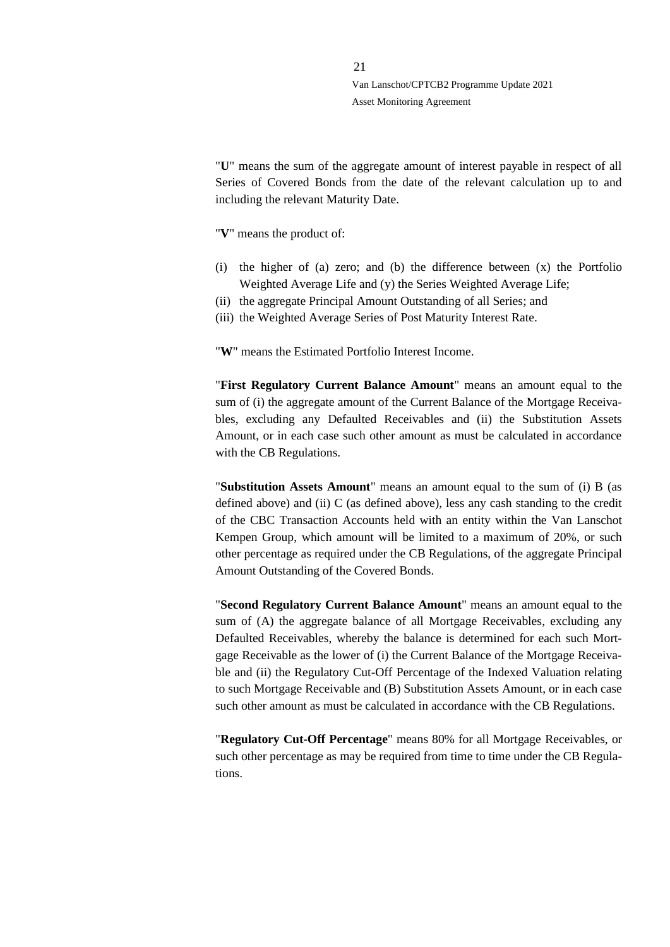"**U**" means the sum of the aggregate amount of interest payable in respect of all Series of Covered Bonds from the date of the relevant calculation up to and including the relevant Maturity Date.

"**V**" means the product of:

- (i) the higher of (a) zero; and (b) the difference between (x) the Portfolio Weighted Average Life and (y) the Series Weighted Average Life;
- (ii) the aggregate Principal Amount Outstanding of all Series; and
- (iii) the Weighted Average Series of Post Maturity Interest Rate.

"**W**" means the Estimated Portfolio Interest Income.

"**First Regulatory Current Balance Amount**" means an amount equal to the sum of (i) the aggregate amount of the Current Balance of the Mortgage Receivables, excluding any Defaulted Receivables and (ii) the Substitution Assets Amount, or in each case such other amount as must be calculated in accordance with the CB Regulations.

"**Substitution Assets Amount**" means an amount equal to the sum of (i) B (as defined above) and (ii) C (as defined above), less any cash standing to the credit of the CBC Transaction Accounts held with an entity within the Van Lanschot Kempen Group, which amount will be limited to a maximum of 20%, or such other percentage as required under the CB Regulations, of the aggregate Principal Amount Outstanding of the Covered Bonds.

"**Second Regulatory Current Balance Amount**" means an amount equal to the sum of (A) the aggregate balance of all Mortgage Receivables, excluding any Defaulted Receivables, whereby the balance is determined for each such Mortgage Receivable as the lower of (i) the Current Balance of the Mortgage Receivable and (ii) the Regulatory Cut-Off Percentage of the Indexed Valuation relating to such Mortgage Receivable and (B) Substitution Assets Amount, or in each case such other amount as must be calculated in accordance with the CB Regulations.

"**Regulatory Cut-Off Percentage**" means 80% for all Mortgage Receivables, or such other percentage as may be required from time to time under the CB Regulations.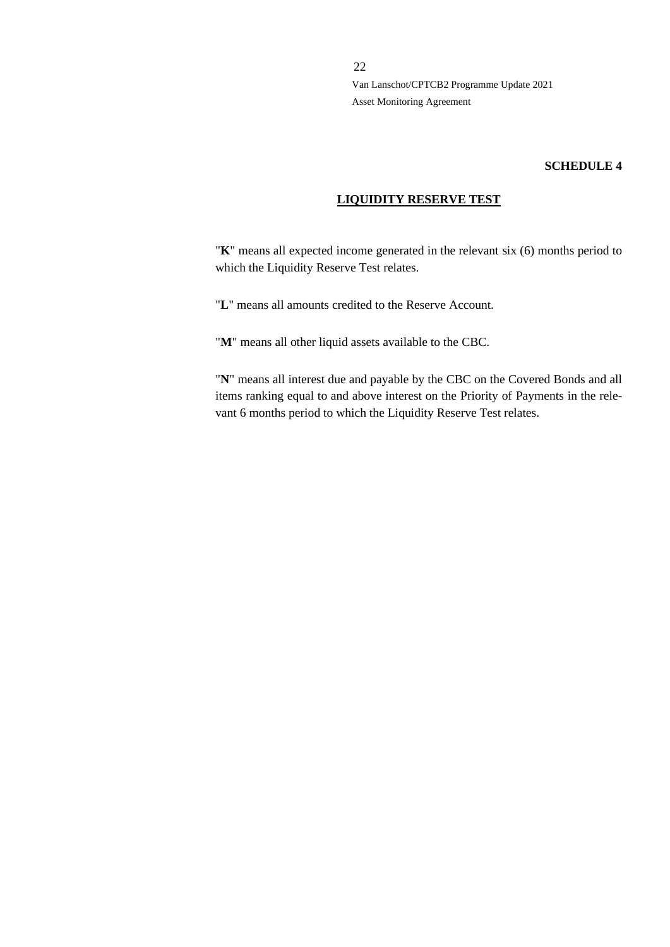#### **SCHEDULE 4**

#### **LIQUIDITY RESERVE TEST**

"**K**" means all expected income generated in the relevant six (6) months period to which the Liquidity Reserve Test relates.

"**L**" means all amounts credited to the Reserve Account.

"**M**" means all other liquid assets available to the CBC.

"**N**" means all interest due and payable by the CBC on the Covered Bonds and all items ranking equal to and above interest on the Priority of Payments in the relevant 6 months period to which the Liquidity Reserve Test relates.